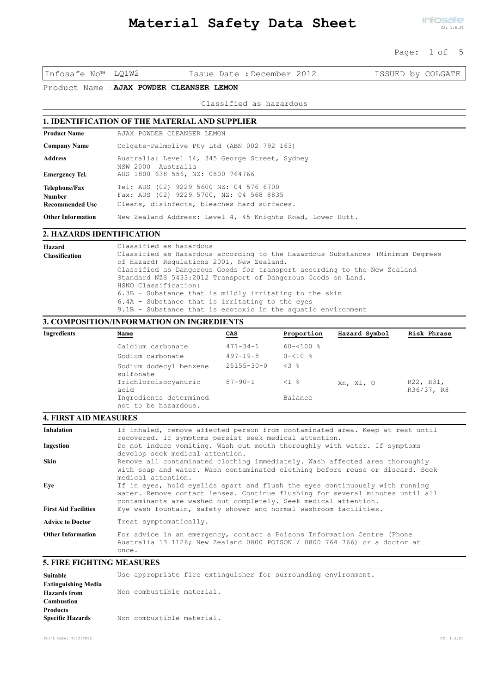#### Page: 1 of 5

Infosafe No™ LQ1W2 Issue Date :December 2012 ISSUED by COLGATE

Product Name :**AJAX POWDER CLEANSER LEMON**

Classified as hazardous

# **1. IDENTIFICATION OF THE MATERIAL AND SUPPLIER**

| <b>Product Name</b>                               | AJAX POWDER CLEANSER LEMON                                                                                                         |
|---------------------------------------------------|------------------------------------------------------------------------------------------------------------------------------------|
| <b>Company Name</b>                               | Colgate-Palmolive Pty Ltd (ABN 002 792 163)                                                                                        |
| <b>Address</b>                                    | Australia: Level 14, 345 George Street, Sydney<br>NSW 2000 Australia                                                               |
| Emergency Tel.                                    | AUS 1800 638 556, NZ: 0800 764766                                                                                                  |
| Telephone/Fax<br><b>Number</b><br>Recommended Use | Tel: AUS (02) 9229 5600 NZ: 04 576 6700<br>Fax: AUS (02) 9229 5700, NZ: 04 568 8835<br>Cleans, disinfects, bleaches hard surfaces. |
| <b>Other Information</b>                          | New Zealand Address: Level 4, 45 Knights Road, Lower Hutt.                                                                         |

#### **2. HAZARDS IDENTIFICATION**

| Hazard<br><b>Classification</b> | Classified as hazardous<br>Classified as Hazardous according to the Hazardous Substances (Minimum Degrees<br>of Hazard) Regulations 2001, New Zealand.<br>Classified as Dangerous Goods for transport according to the New Zealand<br>Standard NZS 5433:2012 Transport of Dangerous Goods on Land.<br>HSNO Classification:<br>6.3B - Substance that is mildly irritating to the skin<br>6.4A - Substance that is irritating to the eyes<br>9.1B - Substance that is ecotoxic in the aquatic environment |
|---------------------------------|---------------------------------------------------------------------------------------------------------------------------------------------------------------------------------------------------------------------------------------------------------------------------------------------------------------------------------------------------------------------------------------------------------------------------------------------------------------------------------------------------------|
|                                 |                                                                                                                                                                                                                                                                                                                                                                                                                                                                                                         |

### **3. COMPOSITION/INFORMATION ON INGREDIENTS**

| Ingredients | <u>Name</u>                                    | CAS              | Proportion         | Hazard Symbol | Risk Phrase             |
|-------------|------------------------------------------------|------------------|--------------------|---------------|-------------------------|
|             | Calcium carbonate                              | $471 - 34 - 1$   | $60 - 5100$ %      |               |                         |
|             | Sodium carbonate                               | $497 - 19 - 8$   | $0 - 510$ %        |               |                         |
|             | Sodium dodecyl benzene<br>sulfonate            | $25155 - 30 - 0$ | $<3$ $\frac{6}{5}$ |               |                         |
|             | Trichloroisocyanuric<br>acid                   | $87 - 90 - 1$    | $\leq 1$ %         | Xn, Xi, O     | R22, R31,<br>R36/37, R8 |
|             | Ingredients determined<br>not to be hazardous. |                  | Balance            |               |                         |

## **4. FIRST AID MEASURES**

| <b>5. FIRE FIGHTING MEASURES</b>       |                                                                                                                                                                                                                                                                                                                                                                                                                         |
|----------------------------------------|-------------------------------------------------------------------------------------------------------------------------------------------------------------------------------------------------------------------------------------------------------------------------------------------------------------------------------------------------------------------------------------------------------------------------|
| <b>Other Information</b>               | For advice in an emergency, contact a Poisons Information Centre (Phone<br>Australia 13 1126; New Zealand 0800 POISON / 0800 764 766) or a doctor at<br>once.                                                                                                                                                                                                                                                           |
| <b>Advice to Doctor</b>                | Treat symptomatically.                                                                                                                                                                                                                                                                                                                                                                                                  |
| Eve<br><b>First Aid Facilities</b>     | medical attention.<br>If in eyes, hold eyelids apart and flush the eyes continuously with running<br>water. Remove contact lenses. Continue flushing for several minutes until all<br>contaminants are washed out completely. Seek medical attention.<br>Eye wash fountain, safety shower and normal washroom facilities.                                                                                               |
| <b>Inhalation</b><br>Ingestion<br>Skin | If inhaled, remove affected person from contaminated area. Keep at rest until<br>recovered. If symptoms persist seek medical attention.<br>Do not induce vomiting. Wash out mouth thoroughly with water. If symptoms<br>develop seek medical attention.<br>Remove all contaminated clothing immediately. Wash affected area thoroughly<br>with soap and water. Wash contaminated clothing before reuse or discard. Seek |

environment.

| Suitable                   |                           | Use appropriate fire extinguisher for surrounding |  |
|----------------------------|---------------------------|---------------------------------------------------|--|
| <b>Extinguishing Media</b> |                           |                                                   |  |
| <b>Hazards</b> from        | Non combustible material. |                                                   |  |
| <b>Combustion</b>          |                           |                                                   |  |
| <b>Products</b>            |                           |                                                   |  |
| <b>Specific Hazards</b>    | Non combustible material. |                                                   |  |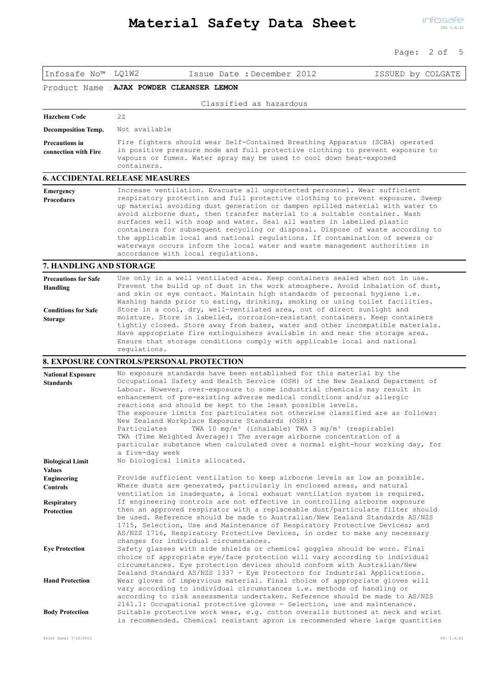### Page: 2 of 5

| Infosafe No <sup>™</sup> LQ1W2                 | Issue Date : December 2012                                                                                                                                                                                                                                                                                                                                                                                                                                                                                                                                                                                                                                                                                                                                             | ISSUED by COLGATE |
|------------------------------------------------|------------------------------------------------------------------------------------------------------------------------------------------------------------------------------------------------------------------------------------------------------------------------------------------------------------------------------------------------------------------------------------------------------------------------------------------------------------------------------------------------------------------------------------------------------------------------------------------------------------------------------------------------------------------------------------------------------------------------------------------------------------------------|-------------------|
| Product Name                                   | AJAX POWDER CLEANSER LEMON                                                                                                                                                                                                                                                                                                                                                                                                                                                                                                                                                                                                                                                                                                                                             |                   |
|                                                | Classified as hazardous                                                                                                                                                                                                                                                                                                                                                                                                                                                                                                                                                                                                                                                                                                                                                |                   |
| <b>Hazchem Code</b>                            | 2z                                                                                                                                                                                                                                                                                                                                                                                                                                                                                                                                                                                                                                                                                                                                                                     |                   |
| <b>Decomposition Temp.</b>                     | Not available                                                                                                                                                                                                                                                                                                                                                                                                                                                                                                                                                                                                                                                                                                                                                          |                   |
| <b>Precautions in</b><br>connection with Fire  | Fire fighters should wear Self-Contained Breathing Apparatus (SCBA) operated<br>in positive pressure mode and full protective clothing to prevent exposure to<br>vapours or fumes. Water spray may be used to cool down heat-exposed<br>containers.                                                                                                                                                                                                                                                                                                                                                                                                                                                                                                                    |                   |
|                                                | <b>6. ACCIDENTAL RELEASE MEASURES</b>                                                                                                                                                                                                                                                                                                                                                                                                                                                                                                                                                                                                                                                                                                                                  |                   |
| <b>Emergency</b><br><b>Procedures</b>          | Increase ventilation. Evacuate all unprotected personnel. Wear sufficient<br>respiratory protection and full protective clothing to prevent exposure. Sweep<br>up material avoiding dust generation or dampen spilled material with water to<br>avoid airborne dust, then transfer material to a suitable container. Wash<br>surfaces well with soap and water. Seal all wastes in labelled plastic<br>containers for subsequent recycling or disposal. Dispose of waste according to<br>the applicable local and national regulations. If contamination of sewers or<br>waterways occurs inform the local water and waste management authorities in<br>accordance with local regulations.                                                                             |                   |
| 7. HANDLING AND STORAGE                        |                                                                                                                                                                                                                                                                                                                                                                                                                                                                                                                                                                                                                                                                                                                                                                        |                   |
| <b>Precautions for Safe</b><br><b>Handling</b> | Use only in a well ventilated area. Keep containers sealed when not in use.<br>Prevent the build up of dust in the work atmosphere. Avoid inhalation of dust,<br>and skin or eye contact. Maintain high standards of personal hygiene i.e.<br>Washing hands prior to eating, drinking, smoking or using toilet facilities.                                                                                                                                                                                                                                                                                                                                                                                                                                             |                   |
| <b>Conditions for Safe</b><br><b>Storage</b>   | Store in a cool, dry, well-ventilated area, out of direct sunlight and<br>moisture. Store in labelled, corrosion-resistant containers. Keep containers<br>tightly closed. Store away from bases, water and other incompatible materials.<br>Have appropriate fire extinguishers available in and near the storage area.<br>Ensure that storage conditions comply with applicable local and national<br>requlations.                                                                                                                                                                                                                                                                                                                                                    |                   |
|                                                | <b>8. EXPOSURE CONTROLS/PERSONAL PROTECTION</b>                                                                                                                                                                                                                                                                                                                                                                                                                                                                                                                                                                                                                                                                                                                        |                   |
| <b>National Exposure</b><br><b>Standards</b>   | No exposure standards have been established for this material by the<br>Occupational Safety and Health Service (OSH) of the New Zealand Department of<br>Labour. However, over-exposure to some industrial chemicals may result in<br>enhancement of pre-existing adverse medical conditions and/or allergic<br>reactions and should be kept to the least possible levels.<br>The exposure limits for particulates not otherwise classified are as follows:<br>New Zealand Workplace Exposure Standards (OSH):<br>TWA 10 $mq/m^3$ (inhalable) TWA 3 $mq/m^3$ (respirable)<br>Particulates<br>TWA (Time Weighted Average): The average airborne concentration of a<br>particular substance when calculated over a normal eight-hour working day, for<br>a five-day week |                   |
| <b>Biological Limit</b><br><b>Values</b>       | No biological limits allocated.                                                                                                                                                                                                                                                                                                                                                                                                                                                                                                                                                                                                                                                                                                                                        |                   |
| <b>Engineering</b><br><b>Controls</b>          | Provide sufficient ventilation to keep airborne levels as low as possible.<br>Where dusts are generated, particularly in enclosed areas, and natural<br>ventilation is inadequate, a local exhaust ventilation system is required.                                                                                                                                                                                                                                                                                                                                                                                                                                                                                                                                     |                   |
| <b>Respiratory</b><br>Protection               | If engineering controls are not effective in controlling airborne exposure<br>then an approved respirator with a replaceable dust/particulate filter should<br>be used. Reference should be made to Australian/New Zealand Standards AS/NZS<br>1715, Selection, Use and Maintenance of Respiratory Protective Devices; and<br>AS/NZS 1716, Respiratory Protective Devices, in order to make any necessary                                                                                                                                                                                                                                                                                                                                                              |                   |
| <b>Eye Protection</b>                          | changes for individual circumstances.<br>Safety glasses with side shields or chemical goggles should be worn. Final<br>choice of appropriate eye/face protection will vary according to individual<br>circumstances. Eye protection devices should conform with Australian/New                                                                                                                                                                                                                                                                                                                                                                                                                                                                                         |                   |
| <b>Hand Protection</b>                         | Zealand Standard AS/NZS 1337 - Eye Protectors for Industrial Applications.<br>Wear gloves of impervious material. Final choice of appropriate gloves will<br>vary according to individual circumstances i.e. methods of handling or<br>according to risk assessments undertaken. Reference should be made to AS/NZS                                                                                                                                                                                                                                                                                                                                                                                                                                                    |                   |
| <b>Body Protection</b>                         | 2161.1: Occupational protective gloves - Selection, use and maintenance.<br>Suitable protective work wear, e.g. cotton overalls buttoned at neck and wrist<br>is recommended. Chemical resistant apron is recommended where large quantities                                                                                                                                                                                                                                                                                                                                                                                                                                                                                                                           |                   |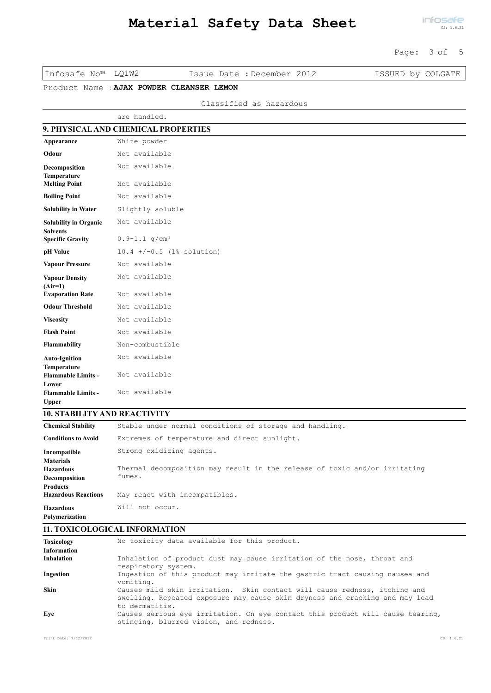### Page: 3 of 5

| LO1W2<br>Infosafe No™ |  |
|-----------------------|--|
|-----------------------|--|

Issue Date : December 2012 ISSUED by COLGATE

Product Name :**AJAX POWDER CLEANSER LEMON**

| Classified as hazardous |  |  |
|-------------------------|--|--|
|-------------------------|--|--|

|                                                   | are handled.                        |
|---------------------------------------------------|-------------------------------------|
|                                                   | 9. PHYSICAL AND CHEMICAL PROPERTIES |
| Appearance                                        | White powder                        |
| Odour                                             | Not available                       |
| Decomposition                                     | Not available                       |
| Temperature<br><b>Melting Point</b>               | Not available                       |
| <b>Boiling Point</b>                              | Not available                       |
| <b>Solubility in Water</b>                        | Slightly soluble                    |
| <b>Solubility in Organic</b>                      | Not available                       |
| <b>Solvents</b><br><b>Specific Gravity</b>        | $0.9 - 1.1$ g/cm <sup>3</sup>       |
| pH Value                                          | $10.4$ +/-0.5 (1% solution)         |
| <b>Vapour Pressure</b>                            | Not available                       |
| <b>Vapour Density</b>                             | Not available                       |
| $(Air=1)$<br><b>Evaporation Rate</b>              | Not available                       |
| <b>Odour Threshold</b>                            | Not available                       |
| <b>Viscosity</b>                                  | Not available                       |
| <b>Flash Point</b>                                | Not available                       |
| Flammability                                      | Non-combustible                     |
| <b>Auto-Ignition</b>                              | Not available                       |
| Temperature<br><b>Flammable Limits -</b><br>Lower | Not available                       |
| <b>Flammable Limits -</b><br><b>Upper</b>         | Not available                       |

# **10. STABILITY AND REACTIVITY**

| <b>Chemical Stability</b>  | Stable under normal conditions of storage and handling.                    |
|----------------------------|----------------------------------------------------------------------------|
| <b>Conditions to Avoid</b> | Extremes of temperature and direct sunlight.                               |
| Incompatible               | Strong oxidizing agents.                                                   |
| <b>Materials</b>           |                                                                            |
| <b>Hazardous</b>           | Thermal decomposition may result in the release of toxic and/or irritating |
| Decomposition              | fumes.                                                                     |
| <b>Products</b>            |                                                                            |
| <b>Hazardous Reactions</b> | May react with incompatibles.                                              |
| <b>Hazardous</b>           | Will not occur.                                                            |
| Polymerization             |                                                                            |

# **11. TOXICOLOGICAL INFORMATION**

| <b>Toxicology</b>  | No toxicity data available for this product.                                                                                                                                |
|--------------------|-----------------------------------------------------------------------------------------------------------------------------------------------------------------------------|
| <b>Information</b> |                                                                                                                                                                             |
| <b>Inhalation</b>  | Inhalation of product dust may cause irritation of the nose, throat and<br>respiratory system.                                                                              |
| Ingestion          | Ingestion of this product may irritate the gastric tract causing nausea and<br>vomiting.                                                                                    |
| Skin               | Causes mild skin irritation. Skin contact will cause redness, itching and<br>swelling. Repeated exposure may cause skin dryness and cracking and may lead<br>to dermatitis. |
| Eve                | Causes serious eye irritation. On eye contact this product will cause tearing,<br>stinging, blurred vision, and redness.                                                    |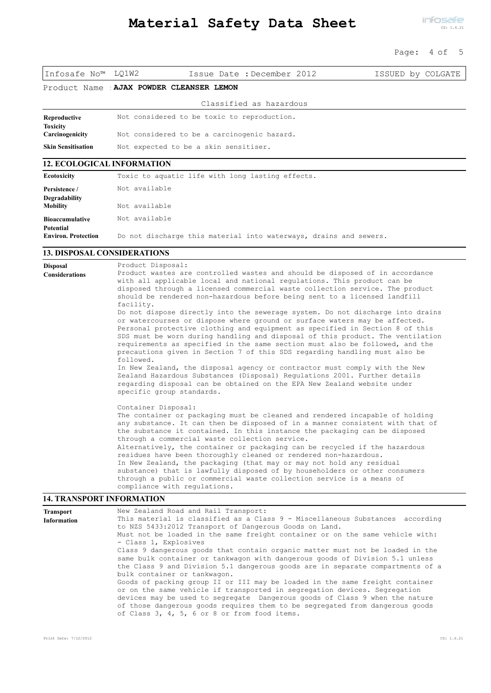### Page: 4 of 5

#### Product Name :**AJAX POWDER CLEANSER LEMON**

|                                    | Classified as hazardous                     |  |
|------------------------------------|---------------------------------------------|--|
| Reproductive                       | Not considered to be toxic to reproduction. |  |
| <b>Toxicity</b><br>Carcinogenicity | Not considered to be a carcinogenic hazard. |  |
| <b>Skin Sensitisation</b>          | Not expected to be a skin sensitiser.       |  |

#### **12. ECOLOGICAL INFORMATION**

| Ecotoxicity                             | Toxic to aquatic life with long lasting effects.                  |
|-----------------------------------------|-------------------------------------------------------------------|
| Persistence /                           | Not available                                                     |
| <b>Degradability</b><br><b>Mobility</b> | Not available                                                     |
| <b>Bioaccumulative</b>                  | Not available                                                     |
| Potential<br><b>Environ. Protection</b> | Do not discharge this material into waterways, drains and sewers. |

#### **13. DISPOSAL CONSIDERATIONS**

Product Disposal: Product wastes are controlled wastes and should be disposed of in accordance with all applicable local and national regulations. This product can be disposed through a licensed commercial waste collection service. The product should be rendered non-hazardous before being sent to a licensed landfill facility. Do not dispose directly into the sewerage system. Do not discharge into drains or watercourses or dispose where ground or surface waters may be affected. Personal protective clothing and equipment as specified in Section 8 of this SDS must be worn during handling and disposal of this product. The ventilation requirements as specified in the same section must also be followed, and the precautions given in Section 7 of this SDS regarding handling must also be followed. In New Zealand, the disposal agency or contractor must comply with the New Zealand Hazardous Substances (Disposal) Regulations 2001. Further details regarding disposal can be obtained on the EPA New Zealand website under specific group standards. Container Disposal: The container or packaging must be cleaned and rendered incapable of holding any substance. It can then be disposed of in a manner consistent with that of the substance it contained. In this instance the packaging can be disposed through a commercial waste collection service. Alternatively, the container or packaging can be recycled if the hazardous residues have been thoroughly cleaned or rendered non-hazardous. In New Zealand, the packaging (that may or may not hold any residual substance) that is lawfully disposed of by householders or other consumers through a public or commercial waste collection service is a means of compliance with regulations. **Disposal Considerations**

#### **14. TRANSPORT INFORMATION**

| <b>Transport</b>                                                              | New Zealand Road and Rail Transport:                                           |  |  |  |  |  |  |  |
|-------------------------------------------------------------------------------|--------------------------------------------------------------------------------|--|--|--|--|--|--|--|
| <b>Information</b>                                                            | This material is classified as a Class 9 - Miscellaneous Substances according  |  |  |  |  |  |  |  |
|                                                                               | to NZS 5433:2012 Transport of Dangerous Goods on Land.                         |  |  |  |  |  |  |  |
|                                                                               | Must not be loaded in the same freight container or on the same vehicle with:  |  |  |  |  |  |  |  |
|                                                                               | - Class 1, Explosives                                                          |  |  |  |  |  |  |  |
| Class 9 dangerous goods that contain organic matter must not be loaded in the |                                                                                |  |  |  |  |  |  |  |
|                                                                               | same bulk container or tankwagon with dangerous goods of Division 5.1 unless   |  |  |  |  |  |  |  |
|                                                                               | the Class 9 and Division 5.1 dangerous goods are in separate compartments of a |  |  |  |  |  |  |  |
|                                                                               | bulk container or tankwagon.                                                   |  |  |  |  |  |  |  |
|                                                                               | Goods of packing group II or III may be loaded in the same freight container   |  |  |  |  |  |  |  |
|                                                                               | or on the same vehicle if transported in segregation devices. Segregation      |  |  |  |  |  |  |  |
|                                                                               | devices may be used to segregate Dangerous goods of Class 9 when the nature    |  |  |  |  |  |  |  |
|                                                                               | of those dangerous goods requires them to be segregated from dangerous goods   |  |  |  |  |  |  |  |
|                                                                               | of Class 3, 4, 5, 6 or 8 or from food items.                                   |  |  |  |  |  |  |  |
|                                                                               |                                                                                |  |  |  |  |  |  |  |